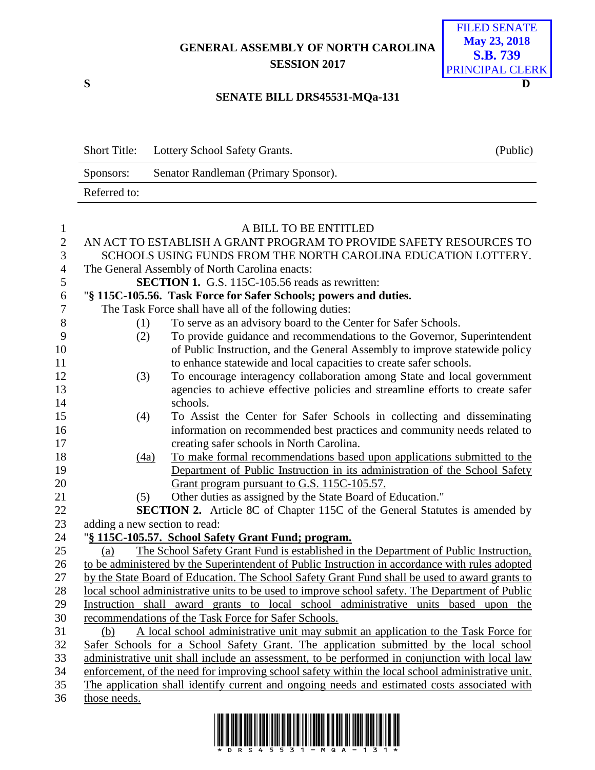## **GENERAL ASSEMBLY OF NORTH CAROLINA SESSION 2017**



## **SENATE BILL DRS45531-MQa-131**

|              | Short Title: Lottery School Safety Grants. | (Public) |
|--------------|--------------------------------------------|----------|
| Sponsors:    | Senator Randleman (Primary Sponsor).       |          |
| Referred to: |                                            |          |

| $\mathbf{1}$   | A BILL TO BE ENTITLED                                                                                                                                                                               |                                                                                      |  |  |  |  |
|----------------|-----------------------------------------------------------------------------------------------------------------------------------------------------------------------------------------------------|--------------------------------------------------------------------------------------|--|--|--|--|
| $\overline{2}$ | AN ACT TO ESTABLISH A GRANT PROGRAM TO PROVIDE SAFETY RESOURCES TO                                                                                                                                  |                                                                                      |  |  |  |  |
| 3              | SCHOOLS USING FUNDS FROM THE NORTH CAROLINA EDUCATION LOTTERY.                                                                                                                                      |                                                                                      |  |  |  |  |
| $\overline{4}$ | The General Assembly of North Carolina enacts:                                                                                                                                                      |                                                                                      |  |  |  |  |
| 5              |                                                                                                                                                                                                     | <b>SECTION 1.</b> G.S. 115C-105.56 reads as rewritten:                               |  |  |  |  |
| 6              |                                                                                                                                                                                                     | "§ 115C-105.56. Task Force for Safer Schools; powers and duties.                     |  |  |  |  |
| $\overline{7}$ | The Task Force shall have all of the following duties:                                                                                                                                              |                                                                                      |  |  |  |  |
| 8              | (1)                                                                                                                                                                                                 | To serve as an advisory board to the Center for Safer Schools.                       |  |  |  |  |
| 9              | (2)                                                                                                                                                                                                 | To provide guidance and recommendations to the Governor, Superintendent              |  |  |  |  |
| 10             |                                                                                                                                                                                                     | of Public Instruction, and the General Assembly to improve statewide policy          |  |  |  |  |
| 11             |                                                                                                                                                                                                     | to enhance statewide and local capacities to create safer schools.                   |  |  |  |  |
| 12             | (3)                                                                                                                                                                                                 | To encourage interagency collaboration among State and local government              |  |  |  |  |
| 13             |                                                                                                                                                                                                     | agencies to achieve effective policies and streamline efforts to create safer        |  |  |  |  |
| 14             |                                                                                                                                                                                                     | schools.                                                                             |  |  |  |  |
| 15             | (4)                                                                                                                                                                                                 | To Assist the Center for Safer Schools in collecting and disseminating               |  |  |  |  |
| 16             |                                                                                                                                                                                                     | information on recommended best practices and community needs related to             |  |  |  |  |
| 17             |                                                                                                                                                                                                     | creating safer schools in North Carolina.                                            |  |  |  |  |
| 18             | (4a)                                                                                                                                                                                                | To make formal recommendations based upon applications submitted to the              |  |  |  |  |
| 19             |                                                                                                                                                                                                     | Department of Public Instruction in its administration of the School Safety          |  |  |  |  |
| 20             |                                                                                                                                                                                                     | Grant program pursuant to G.S. 115C-105.57.                                          |  |  |  |  |
| 21             | (5)                                                                                                                                                                                                 | Other duties as assigned by the State Board of Education."                           |  |  |  |  |
| 22             |                                                                                                                                                                                                     | <b>SECTION 2.</b> Article 8C of Chapter 115C of the General Statutes is amended by   |  |  |  |  |
| 23             | adding a new section to read:                                                                                                                                                                       |                                                                                      |  |  |  |  |
| 24             | "§ 115C-105.57. School Safety Grant Fund; program.                                                                                                                                                  |                                                                                      |  |  |  |  |
| 25             | (a)                                                                                                                                                                                                 | The School Safety Grant Fund is established in the Department of Public Instruction, |  |  |  |  |
| 26             | to be administered by the Superintendent of Public Instruction in accordance with rules adopted                                                                                                     |                                                                                      |  |  |  |  |
| 27             | by the State Board of Education. The School Safety Grant Fund shall be used to award grants to                                                                                                      |                                                                                      |  |  |  |  |
| 28             | local school administrative units to be used to improve school safety. The Department of Public                                                                                                     |                                                                                      |  |  |  |  |
| 29             | Instruction shall award grants to local school administrative units based upon the                                                                                                                  |                                                                                      |  |  |  |  |
| 30             | recommendations of the Task Force for Safer Schools.                                                                                                                                                |                                                                                      |  |  |  |  |
| 31             | A local school administrative unit may submit an application to the Task Force for<br>(b)                                                                                                           |                                                                                      |  |  |  |  |
| 32             | Safer Schools for a School Safety Grant. The application submitted by the local school                                                                                                              |                                                                                      |  |  |  |  |
| 33<br>34       | administrative unit shall include an assessment, to be performed in conjunction with local law<br>enforcement, of the need for improving school safety within the local school administrative unit. |                                                                                      |  |  |  |  |
| 35             | The application shall identify current and ongoing needs and estimated costs associated with                                                                                                        |                                                                                      |  |  |  |  |
| 36             | those needs.                                                                                                                                                                                        |                                                                                      |  |  |  |  |
|                |                                                                                                                                                                                                     |                                                                                      |  |  |  |  |